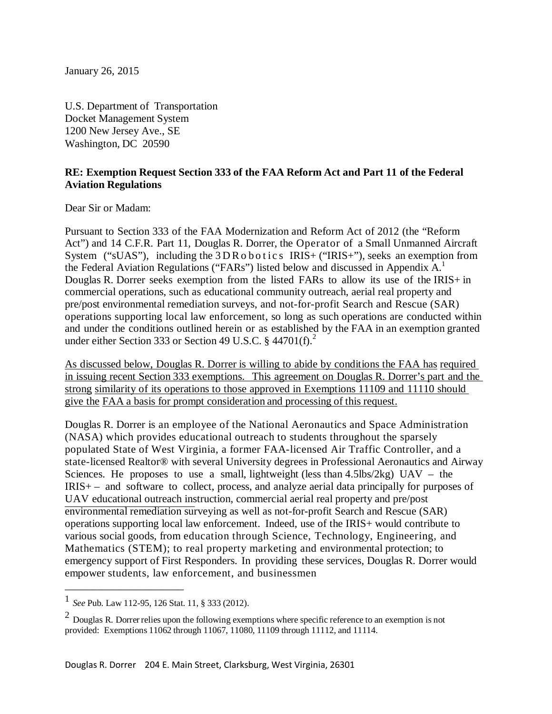January 26, 2015

U.S. Department of Transportation Docket Management System 1200 New Jersey Ave., SE Washington, DC 20590

#### **RE: Exemption Request Section 333 of the FAA Reform Act and Part 11 of the Federal Aviation Regulations**

Dear Sir or Madam:

Pursuant to Section 333 of the FAA Modernization and Reform Act of 2012 (the "Reform Act") and 14 C.F.R. Part 11, Douglas R. Dorrer, the Operator of a Small Unmanned Aircraft System ("sUAS"), including the 3DRobotics IRIS+ ("IRIS+"), seeks an exemption from the Federal Aviation Regulations ("FARs") listed below and discussed in Appendix A.<sup>1</sup> Douglas R. Dorrer seeks exemption from the listed FARs to allow its use of the IRIS+ in commercial operations, such as educational community outreach, aerial real property and pre/post environmental remediation surveys, and not-for-profit Search and Rescue (SAR) operations supporting local law enforcement, so long as such operations are conducted within and under the conditions outlined herein or as established by the FAA in an exemption granted under either Section 333 or Section 49 U.S.C.  $\S$  44701(f).

As discussed below, Douglas R. Dorrer is willing to abide by conditions the FAA has required in issuing recent Section 333 exemptions. This agreement on Douglas R. Dorrer's part and the strong similarity of its operations to those approved in Exemptions 11109 and 11110 should give the FAA a basis for prompt consideration and processing of this request.

Douglas R. Dorrer is an employee of the National Aeronautics and Space Administration (NASA) which provides educational outreach to students throughout the sparsely populated State of West Virginia, a former FAA-licensed Air Traffic Controller, and a state-licensed Realtor® with several University degrees in Professional Aeronautics and Airway Sciences. He proposes to use a small, lightweight (less than  $4.5$ lbs/ $2kg$ ) UAV – the IRIS+ – and software to collect, process, and analyze aerial data principally for purposes of UAV educational outreach instruction, commercial aerial real property and pre/post environmental remediation surveying as well as not-for-profit Search and Rescue (SAR) operations supporting local law enforcement. Indeed, use of the IRIS+ would contribute to various social goods, from education through Science, Technology, Engineering, and Mathematics (STEM); to real property marketing and environmental protection; to emergency support of First Responders. In providing these services, Douglas R. Dorrer would empower students, law enforcement, and businessmen

\_\_\_\_\_\_\_\_\_\_\_\_\_\_\_\_\_\_\_\_\_\_

<sup>1</sup> *See* Pub. Law 112-95, <sup>126</sup> Stat. 11, § <sup>333</sup> (2012).

 $2$  Douglas R. Dorrer relies upon the following exemptions where specific reference to an exemption is not provided: Exemptions 11062 through 11067, 11080, 11109 through 11112, and 11114.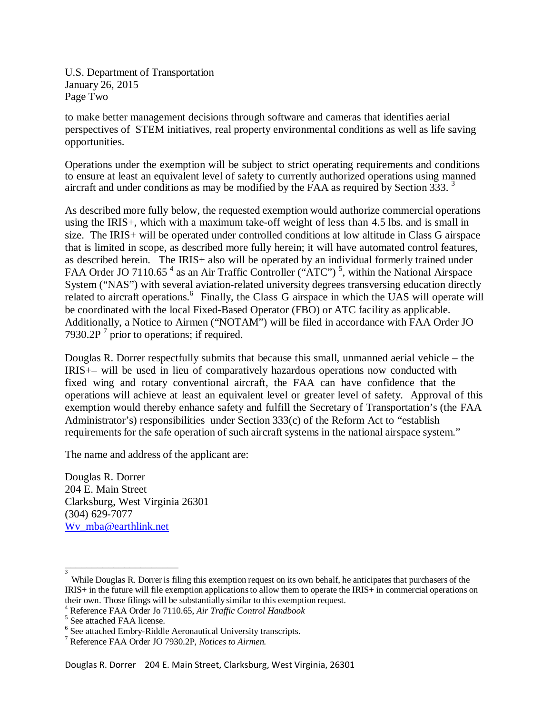U.S. Department of Transportation January 26, 2015 Page Two

to make better management decisions through software and cameras that identifies aerial perspectives of STEM initiatives, real property environmental conditions as well as life saving opportunities.

Operations under the exemption will be subject to strict operating requirements and conditions to ensure at least an equivalent level of safety to currently authorized operations using manned aircraft and under conditions as may be modified by the FAA as required by Section 333.<sup>3</sup>

As described more fully below, the requested exemption would authorize commercial operations using the IRIS+, which with a maximum take-off weight of less than 4.5 lbs. and is small in size. The IRIS+ will be operated under controlled conditions at low altitude in Class G airspace that is limited in scope, as described more fully herein; it will have automated control features, as described herein. The IRIS+ also will be operated by an individual formerly trained under FAA Order JO 7110.65<sup>4</sup> as an Air Traffic Controller ("ATC")<sup>5</sup>, within the National Airspace System ("NAS") with several aviation-related university degrees transversing education directly related to aircraft operations.<sup>6</sup> Finally, the Class G airspace in which the UAS will operate will be coordinated with the local Fixed-Based Operator (FBO) or ATC facility as applicable. Additionally, a Notice to Airmen ("NOTAM") will be filed in accordance with FAA Order JO 7930.2P $<sup>7</sup>$  prior to operations; if required.</sup>

Douglas R. Dorrer respectfully submits that because this small, unmanned aerial vehicle – the IRIS+– will be used in lieu of comparatively hazardous operations now conducted with fixed wing and rotary conventional aircraft, the FAA can have confidence that the operations will achieve at least an equivalent level or greater level of safety. Approval of this exemption would thereby enhance safety and fulfill the Secretary of Transportation's (the FAA Administrator's) responsibilities under Section 333(c) of the Reform Act to "establish requirements for the safe operation of such aircraft systems in the national airspace system."

The name and address of the applicant are:

Douglas R. Dorrer 204 E. Main Street Clarksburg, West Virginia 26301 (304) 629-7077 [Wv\\_mba@earthlink.net](mailto:Wv_mba@earthlink.net)

\_\_\_\_\_\_\_\_\_\_\_\_\_\_\_\_\_\_\_\_\_

<sup>3</sup> While Douglas R. Dorrer is filing this exemption request on its own behalf, he anticipates that purchasers of the IRIS+ in the future will file exemption applicationsto allow them to operate the IRIS+ in commercial operations on their own. Those filings will be substantially similar to this exemption request.<br><sup>4</sup> Reference FAA Order Jo 7110.65, *Air Traffic Control Handbook* 5 See attached FAA license.

<sup>6</sup> See attached Embry-Riddle Aeronautical University transcripts. <sup>7</sup> Reference FAA Order JO 7930.2P, *Notices to Airmen.*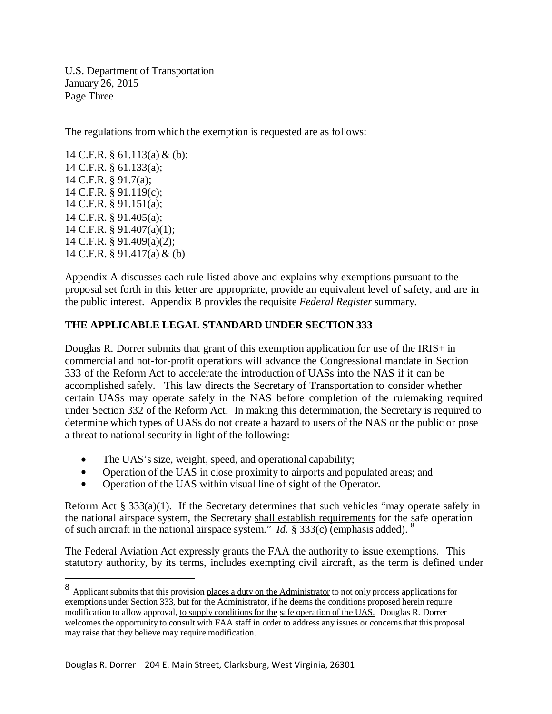U.S. Department of Transportation January 26, 2015 Page Three

The regulations from which the exemption is requested are as follows:

 C.F.R. § 61.113(a) & (b); C.F.R. § 61.133(a); C.F.R. § 91.7(a); C.F.R. § 91.119(c); C.F.R. § 91.151(a); C.F.R. § 91.405(a); C.F.R. § 91.407(a)(1); C.F.R. § 91.409(a)(2); C.F.R. § 91.417(a) & (b)

Appendix A discusses each rule listed above and explains why exemptions pursuant to the proposal set forth in this letter are appropriate, provide an equivalent level of safety, and are in the public interest. Appendix B provides the requisite *Federal Register* summary.

## **THE APPLICABLE LEGAL STANDARD UNDER SECTION 333**

Douglas R. Dorrer submits that grant of this exemption application for use of the IRIS+ in commercial and not-for-profit operations will advance the Congressional mandate in Section 333 of the Reform Act to accelerate the introduction of UASs into the NAS if it can be accomplished safely. This law directs the Secretary of Transportation to consider whether certain UASs may operate safely in the NAS before completion of the rulemaking required under Section 332 of the Reform Act. In making this determination, the Secretary is required to determine which types of UASs do not create a hazard to users of the NAS or the public or pose a threat to national security in light of the following:

- The UAS's size, weight, speed, and operational capability;
- Operation of the UAS in close proximity to airports and populated areas; and
- Operation of the UAS within visual line of sight of the Operator.

Reform Act  $\S 333(a)(1)$ . If the Secretary determines that such vehicles "may operate safely in the national airspace system, the Secretary shall establish requirements for the safe operation of such aircraft in the national airspace system." *Id.* § 333(c) (emphasis added). <sup>8</sup>

The Federal Aviation Act expressly grants the FAA the authority to issue exemptions. This statutory authority, by its terms, includes exempting civil aircraft, as the term is defined under

<sup>8</sup> Applicant submits that this provision places a duty on the Administrator to not only process applications for exemptions under Section 333, but for the Administrator, if he deems the conditions proposed herein require modification to allow approval, to supply conditionsfor the safe operation of the UAS. Douglas R. Dorrer welcomes the opportunity to consult with FAA staff in order to address any issues or concernsthat this proposal may raise that they believe may require modification.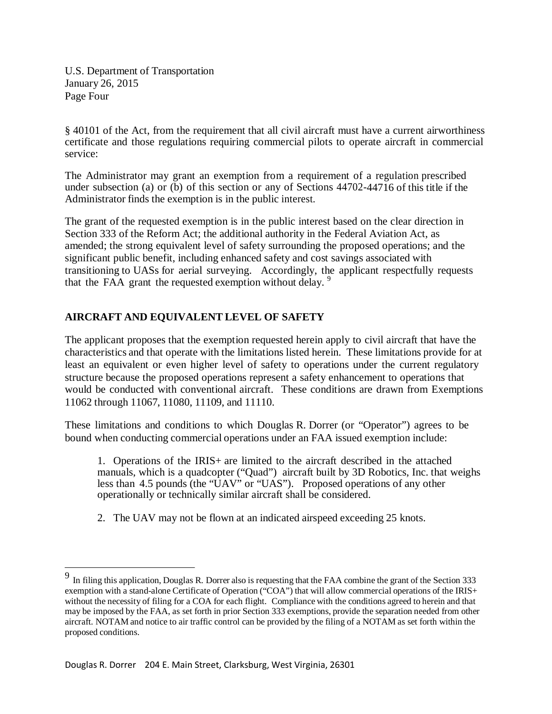U.S. Department of Transportation January 26, 2015 Page Four

§ 40101 of the Act, from the requirement that all civil aircraft must have a current airworthiness certificate and those regulations requiring commercial pilots to operate aircraft in commercial service:

The Administrator may grant an exemption from a requirement of a regulation prescribed under subsection (a) or (b) of this section or any of Sections 44702-44716 of this title if the Administrator finds the exemption is in the public interest.

The grant of the requested exemption is in the public interest based on the clear direction in Section 333 of the Reform Act; the additional authority in the Federal Aviation Act, as amended; the strong equivalent level of safety surrounding the proposed operations; and the significant public benefit, including enhanced safety and cost savings associated with transitioning to UASs for aerial surveying. Accordingly, the applicant respectfully requests that the FAA grant the requested exemption without delay. <sup>9</sup>

# **AIRCRAFT AND EQUIVALENT LEVEL OF SAFETY**

The applicant proposes that the exemption requested herein apply to civil aircraft that have the characteristics and that operate with the limitations listed herein. These limitations provide for at least an equivalent or even higher level of safety to operations under the current regulatory structure because the proposed operations represent a safety enhancement to operations that would be conducted with conventional aircraft. These conditions are drawn from Exemptions 11062 through 11067, 11080, 11109, and 11110.

These limitations and conditions to which Douglas R. Dorrer (or "Operator") agrees to be bound when conducting commercial operations under an FAA issued exemption include:

1. Operations of the IRIS+ are limited to the aircraft described in the attached manuals, which is a quadcopter ("Quad") aircraft built by 3D Robotics, Inc. that weighs less than 4.5 pounds (the "UAV" or "UAS"). Proposed operations of any other operationally or technically similar aircraft shall be considered.

2. The UAV may not be flown at an indicated airspeed exceeding 25 knots.

<sup>9</sup> In filing this application, Douglas R. Dorrer also is requesting that the FAA combine the grant of the Section <sup>333</sup> exemption with a stand-alone Certificate of Operation ("COA") that will allow commercial operations of the IRIS+ without the necessity of filing for a COA for each flight. Compliance with the conditions agreed to herein and that may be imposed by the FAA, as set forth in prior Section 333 exemptions, provide the separation needed from other aircraft. NOTAM and notice to air traffic control can be provided by the filing of a NOTAM as set forth within the proposed conditions.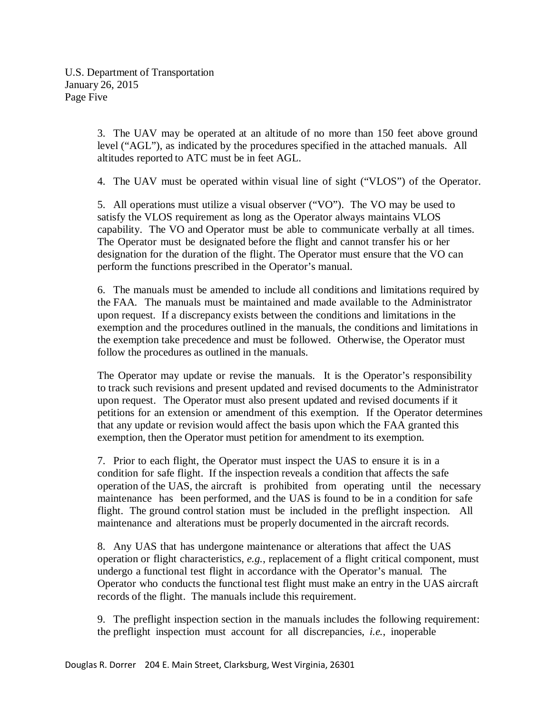U.S. Department of Transportation January 26, 2015 Page Five

> 3. The UAV may be operated at an altitude of no more than 150 feet above ground level ("AGL"), as indicated by the procedures specified in the attached manuals. All altitudes reported to ATC must be in feet AGL.

> 4. The UAV must be operated within visual line of sight ("VLOS") of the Operator.

5. All operations must utilize a visual observer ("VO"). The VO may be used to satisfy the VLOS requirement as long as the Operator always maintains VLOS capability. The VO and Operator must be able to communicate verbally at all times. The Operator must be designated before the flight and cannot transfer his or her designation for the duration of the flight. The Operator must ensure that the VO can perform the functions prescribed in the Operator's manual.

6. The manuals must be amended to include all conditions and limitations required by the FAA. The manuals must be maintained and made available to the Administrator upon request. If a discrepancy exists between the conditions and limitations in the exemption and the procedures outlined in the manuals, the conditions and limitations in the exemption take precedence and must be followed. Otherwise, the Operator must follow the procedures as outlined in the manuals.

The Operator may update or revise the manuals. It is the Operator's responsibility to track such revisions and present updated and revised documents to the Administrator upon request. The Operator must also present updated and revised documents if it petitions for an extension or amendment of this exemption. If the Operator determines that any update or revision would affect the basis upon which the FAA granted this exemption, then the Operator must petition for amendment to its exemption.

7. Prior to each flight, the Operator must inspect the UAS to ensure it is in a condition for safe flight. If the inspection reveals a condition that affects the safe operation of the UAS, the aircraft is prohibited from operating until the necessary maintenance has been performed, and the UAS is found to be in a condition for safe flight. The ground control station must be included in the preflight inspection. All maintenance and alterations must be properly documented in the aircraft records.

8. Any UAS that has undergone maintenance or alterations that affect the UAS operation or flight characteristics, *e.g.*, replacement of a flight critical component, must undergo a functional test flight in accordance with the Operator's manual. The Operator who conducts the functional test flight must make an entry in the UAS aircraft records of the flight. The manuals include this requirement.

9. The preflight inspection section in the manuals includes the following requirement: the preflight inspection must account for all discrepancies, *i.e.*, inoperable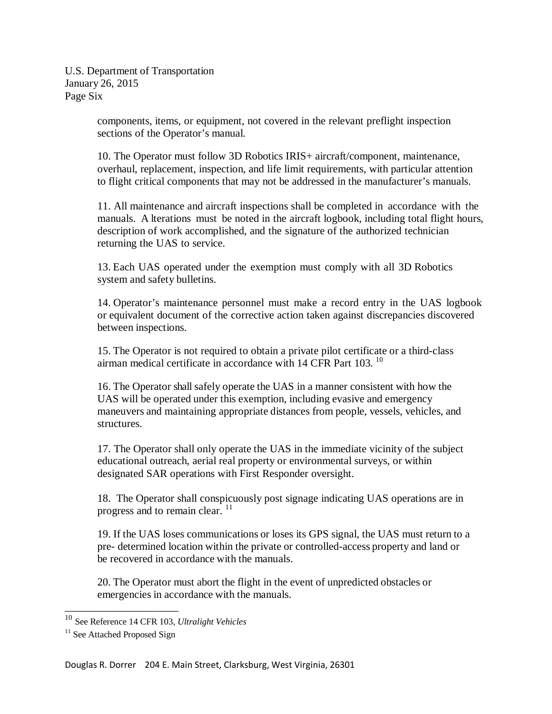U.S. Department of Transportation January 26, 2015 Page Six

> components, items, or equipment, not covered in the relevant preflight inspection sections of the Operator's manual.

10. The Operator must follow 3D Robotics IRIS+ aircraft/component, maintenance, overhaul, replacement, inspection, and life limit requirements, with particular attention to flight critical components that may not be addressed in the manufacturer's manuals.

11. All maintenance and aircraft inspections shall be completed in accordance with the manuals. A lterations must be noted in the aircraft logbook, including total flight hours, description of work accomplished, and the signature of the authorized technician returning the UAS to service.

13. Each UAS operated under the exemption must comply with all 3D Robotics system and safety bulletins.

14. Operator's maintenance personnel must make a record entry in the UAS logbook or equivalent document of the corrective action taken against discrepancies discovered between inspections.

15. The Operator is not required to obtain a private pilot certificate or a third-class airman medical certificate in accordance with 14 CFR Part 103.  $^{10}$ 

16. The Operator shall safely operate the UAS in a manner consistent with how the UAS will be operated under this exemption, including evasive and emergency maneuvers and maintaining appropriate distances from people, vessels, vehicles, and structures.

17. The Operator shall only operate the UAS in the immediate vicinity of the subject educational outreach, aerial real property or environmental surveys, or within designated SAR operations with First Responder oversight.

18. The Operator shall conspicuously post signage indicating UAS operations are in progress and to remain clear. <sup>11</sup>

19. If the UAS loses communications or loses its GPS signal, the UAS must return to a pre- determined location within the private or controlled-access property and land or be recovered in accordance with the manuals.

20. The Operator must abort the flight in the event of unpredicted obstacles or emergencies in accordance with the manuals.

\_\_\_\_\_\_\_\_\_\_\_\_\_\_\_\_\_\_\_\_\_

<sup>10</sup> See Reference 14 CFR 103, *Ultralight Vehicles*

<sup>&</sup>lt;sup>11</sup> See Attached Proposed Sign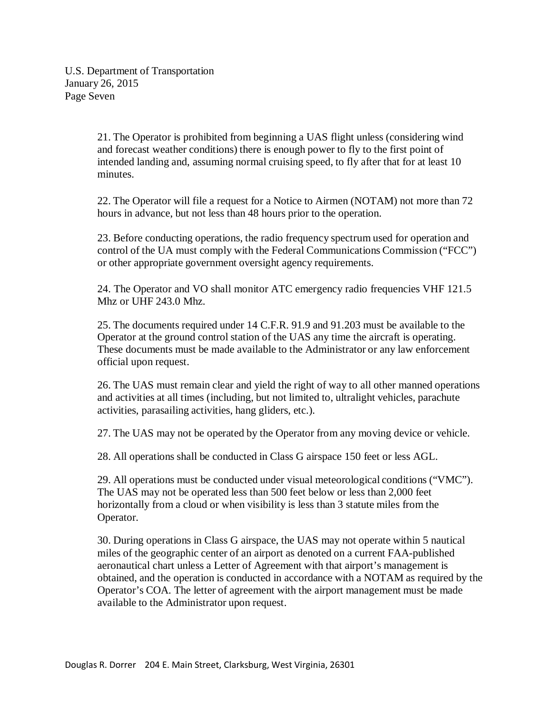U.S. Department of Transportation January 26, 2015 Page Seven

> 21. The Operator is prohibited from beginning a UAS flight unless (considering wind and forecast weather conditions) there is enough power to fly to the first point of intended landing and, assuming normal cruising speed, to fly after that for at least 10 minutes.

22. The Operator will file a request for a Notice to Airmen (NOTAM) not more than 72 hours in advance, but not less than 48 hours prior to the operation.

23. Before conducting operations, the radio frequency spectrum used for operation and control of the UA must comply with the Federal Communications Commission ("FCC") or other appropriate government oversight agency requirements.

24. The Operator and VO shall monitor ATC emergency radio frequencies VHF 121.5 Mhz or UHF 243.0 Mhz.

25. The documents required under 14 C.F.R. 91.9 and 91.203 must be available to the Operator at the ground control station of the UAS any time the aircraft is operating. These documents must be made available to the Administrator or any law enforcement official upon request.

26. The UAS must remain clear and yield the right of way to all other manned operations and activities at all times (including, but not limited to, ultralight vehicles, parachute activities, parasailing activities, hang gliders, etc.).

27. The UAS may not be operated by the Operator from any moving device or vehicle.

28. All operations shall be conducted in Class G airspace 150 feet or less AGL.

29. All operations must be conducted under visual meteorological conditions ("VMC"). The UAS may not be operated less than 500 feet below or less than 2,000 feet horizontally from a cloud or when visibility is less than 3 statute miles from the Operator.

30. During operations in Class G airspace, the UAS may not operate within 5 nautical miles of the geographic center of an airport as denoted on a current FAA-published aeronautical chart unless a Letter of Agreement with that airport's management is obtained, and the operation is conducted in accordance with a NOTAM as required by the Operator's COA. The letter of agreement with the airport management must be made available to the Administrator upon request.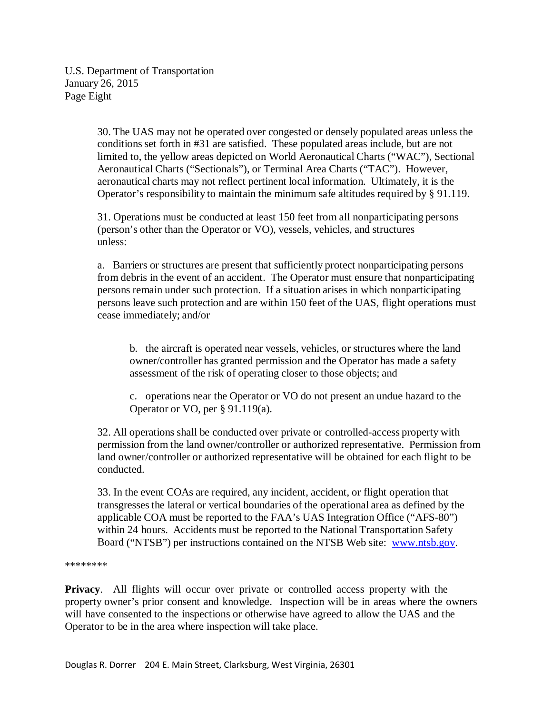U.S. Department of Transportation January 26, 2015 Page Eight

> 30. The UAS may not be operated over congested or densely populated areas unless the conditions set forth in #31 are satisfied. These populated areas include, but are not limited to, the yellow areas depicted on World Aeronautical Charts ("WAC"), Sectional Aeronautical Charts ("Sectionals"), or Terminal Area Charts ("TAC"). However, aeronautical charts may not reflect pertinent local information. Ultimately, it is the Operator's responsibility to maintain the minimum safe altitudes required by § 91.119.

31. Operations must be conducted at least 150 feet from all nonparticipating persons (person's other than the Operator or VO), vessels, vehicles, and structures unless:

a. Barriers or structures are present that sufficiently protect nonparticipating persons from debris in the event of an accident. The Operator must ensure that nonparticipating persons remain under such protection. If a situation arises in which nonparticipating persons leave such protection and are within 150 feet of the UAS, flight operations must cease immediately; and/or

b. the aircraft is operated near vessels, vehicles, or structures where the land owner/controller has granted permission and the Operator has made a safety assessment of the risk of operating closer to those objects; and

c. operations near the Operator or VO do not present an undue hazard to the Operator or VO, per § 91.119(a).

32. All operations shall be conducted over private or controlled-access property with permission from the land owner/controller or authorized representative. Permission from land owner/controller or authorized representative will be obtained for each flight to be conducted.

33. In the event COAs are required, any incident, accident, or flight operation that transgressesthe lateral or vertical boundaries of the operational area as defined by the applicable COA must be reported to the FAA's UAS Integration Office ("AFS-80") within 24 hours. Accidents must be reported to the National Transportation Safety Board ("NTSB") per instructions contained on the NTSB Web site: [www.ntsb.gov.](http://www.ntsb.gov/)

\*\*\*\*\*\*\*\*

**Privacy**. All flights will occur over private or controlled access property with the property owner's prior consent and knowledge. Inspection will be in areas where the owners will have consented to the inspections or otherwise have agreed to allow the UAS and the Operator to be in the area where inspection will take place.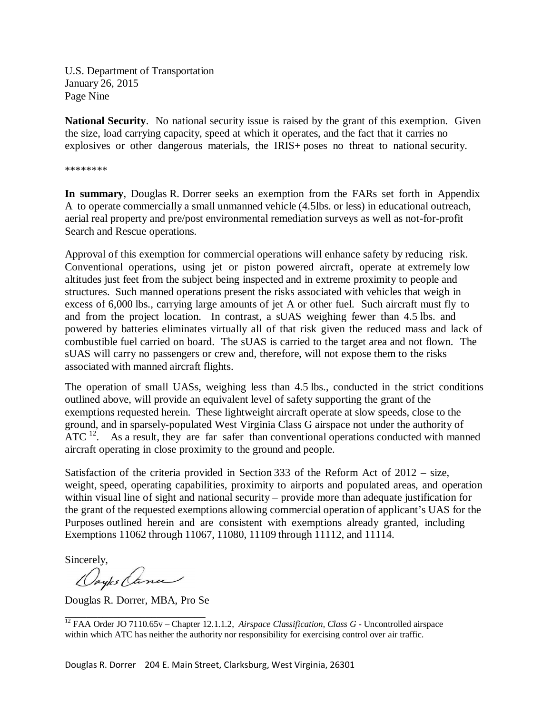U.S. Department of Transportation January 26, 2015 Page Nine

**National Security**. No national security issue is raised by the grant of this exemption. Given the size, load carrying capacity, speed at which it operates, and the fact that it carries no explosives or other dangerous materials, the IRIS+ poses no threat to national security.

\*\*\*\*\*\*\*\*

**In summary**, Douglas R. Dorrer seeks an exemption from the FARs set forth in Appendix A to operate commercially a small unmanned vehicle (4.5lbs. or less) in educational outreach, aerial real property and pre/post environmental remediation surveys as well as not-for-profit Search and Rescue operations.

Approval of this exemption for commercial operations will enhance safety by reducing risk. Conventional operations, using jet or piston powered aircraft, operate at extremely low altitudes just feet from the subject being inspected and in extreme proximity to people and structures. Such manned operations present the risks associated with vehicles that weigh in excess of 6,000 lbs., carrying large amounts of jet A or other fuel. Such aircraft must fly to and from the project location. In contrast, a sUAS weighing fewer than 4.5 lbs. and powered by batteries eliminates virtually all of that risk given the reduced mass and lack of combustible fuel carried on board. The sUAS is carried to the target area and not flown. The sUAS will carry no passengers or crew and, therefore, will not expose them to the risks associated with manned aircraft flights.

The operation of small UASs, weighing less than 4.5 lbs., conducted in the strict conditions outlined above, will provide an equivalent level of safety supporting the grant of the exemptions requested herein. These lightweight aircraft operate at slow speeds, close to the ground, and in sparsely-populated West Virginia Class G airspace not under the authority of ATC  $^{12}$ . As a result, they are far safer than conventional operations conducted with manned aircraft operating in close proximity to the ground and people.

Satisfaction of the criteria provided in Section 333 of the Reform Act of 2012 – size, weight, speed, operating capabilities, proximity to airports and populated areas, and operation within visual line of sight and national security – provide more than adequate justification for the grant of the requested exemptions allowing commercial operation of applicant's UAS for the Purposes outlined herein and are consistent with exemptions already granted, including Exemptions 11062 through 11067, 11080, 11109 through 11112, and 11114.

Sincerely,

Daytes Cance

Douglas R. Dorrer, MBA, Pro Se

\_\_\_\_\_\_\_\_\_\_\_\_\_\_\_\_\_\_\_\_\_\_\_\_\_\_ <sup>12</sup> FAA Order JO 7110.65v – Chapter 12.1.1.2, *Airspace Classification, Class G -* Uncontrolled airspace within which ATC has neither the authority nor responsibility for exercising control over air traffic.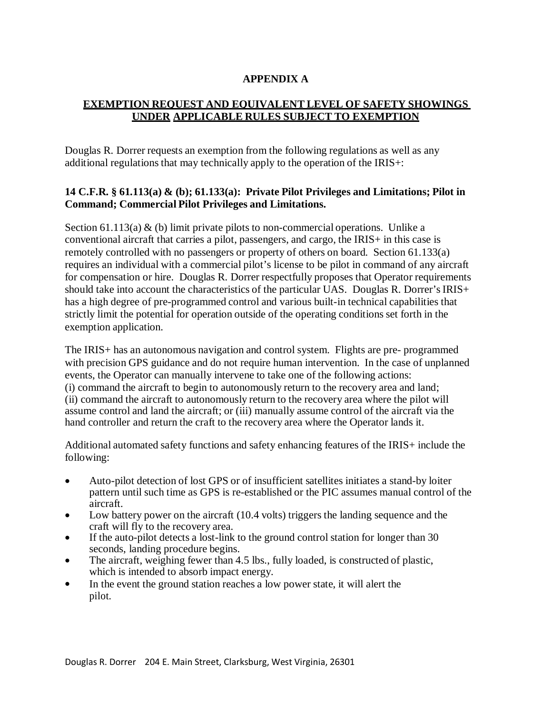## **APPENDIX A**

# **EXEMPTION REQUEST AND EQUIVALENT LEVEL OF SAFETY SHOWINGS UNDER APPLICABLE RULES SUBJECT TO EXEMPTION**

Douglas R. Dorrer requests an exemption from the following regulations as well as any additional regulations that may technically apply to the operation of the IRIS+:

#### **14 C.F.R. § 61.113(a) & (b); 61.133(a): Private Pilot Privileges and Limitations; Pilot in Command; Commercial Pilot Privileges and Limitations.**

Section 61.113(a)  $\&$  (b) limit private pilots to non-commercial operations. Unlike a conventional aircraft that carries a pilot, passengers, and cargo, the IRIS+ in this case is remotely controlled with no passengers or property of others on board. Section 61.133(a) requires an individual with a commercial pilot's license to be pilot in command of any aircraft for compensation or hire. Douglas R. Dorrer respectfully proposes that Operator requirements should take into account the characteristics of the particular UAS. Douglas R. Dorrer's  $IRIS+$ has a high degree of pre-programmed control and various built-in technical capabilities that strictly limit the potential for operation outside of the operating conditions set forth in the exemption application.

The IRIS+ has an autonomous navigation and control system. Flights are pre- programmed with precision GPS guidance and do not require human intervention. In the case of unplanned events, the Operator can manually intervene to take one of the following actions: (i) command the aircraft to begin to autonomously return to the recovery area and land; (ii) command the aircraft to autonomously return to the recovery area where the pilot will assume control and land the aircraft; or (iii) manually assume control of the aircraft via the hand controller and return the craft to the recovery area where the Operator lands it.

Additional automated safety functions and safety enhancing features of the IRIS+ include the following:

- Auto-pilot detection of lost GPS or of insufficient satellites initiates a stand-by loiter pattern until such time as GPS is re-established or the PIC assumes manual control of the aircraft.
- Low battery power on the aircraft (10.4 volts) triggers the landing sequence and the craft will fly to the recovery area.
- If the auto-pilot detects a lost-link to the ground control station for longer than 30 seconds, landing procedure begins.
- The aircraft, weighing fewer than 4.5 lbs., fully loaded, is constructed of plastic, which is intended to absorb impact energy.
- In the event the ground station reaches a low power state, it will alert the pilot.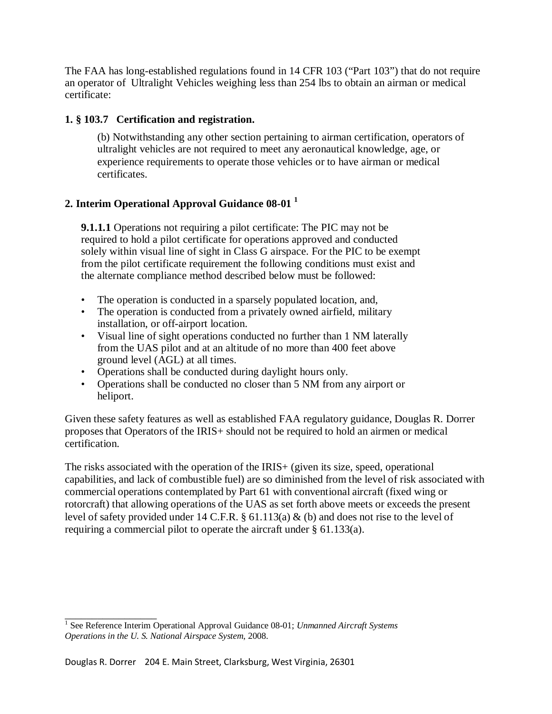The FAA has long-established regulations found in 14 CFR 103 ("Part 103") that do not require an operator of Ultralight Vehicles weighing less than 254 lbs to obtain an airman or medical certificate:

## **1. § 103.7 Certification and registration.**

(b) Notwithstanding any other section pertaining to airman certification, operators of ultralight vehicles are not required to meet any aeronautical knowledge, age, or experience requirements to operate those vehicles or to have airman or medical certificates.

## **2. Interim Operational Approval Guidance 08-01 <sup>1</sup>**

**9.1.1.1** Operations not requiring a pilot certificate: The PIC may not be required to hold a pilot certificate for operations approved and conducted solely within visual line of sight in Class G airspace. For the PIC to be exempt from the pilot certificate requirement the following conditions must exist and the alternate compliance method described below must be followed:

- The operation is conducted in a sparsely populated location, and,
- The operation is conducted from a privately owned airfield, military installation, or off-airport location.
- Visual line of sight operations conducted no further than 1 NM laterally from the UAS pilot and at an altitude of no more than 400 feet above ground level (AGL) at all times.
- Operations shall be conducted during daylight hours only.
- Operations shall be conducted no closer than 5 NM from any airport or heliport.

Given these safety features as well as established FAA regulatory guidance, Douglas R. Dorrer proposesthat Operators of the IRIS+ should not be required to hold an airmen or medical certification.

The risks associated with the operation of the IRIS+ (given its size, speed, operational capabilities, and lack of combustible fuel) are so diminished from the level of risk associated with commercial operations contemplated by Part 61 with conventional aircraft (fixed wing or rotorcraft) that allowing operations of the UAS as set forth above meets or exceeds the present level of safety provided under 14 C.F.R. § 61.113(a) & (b) and does not rise to the level of requiring a commercial pilot to operate the aircraft under § 61.133(a).

\_\_\_\_\_\_\_\_\_\_\_\_\_\_\_\_\_

<sup>&</sup>lt;sup>1</sup> See Reference Interim Operational Approval Guidance 08-01; *Unmanned Aircraft Systems Operations in the U. S. National Airspace System*, 2008.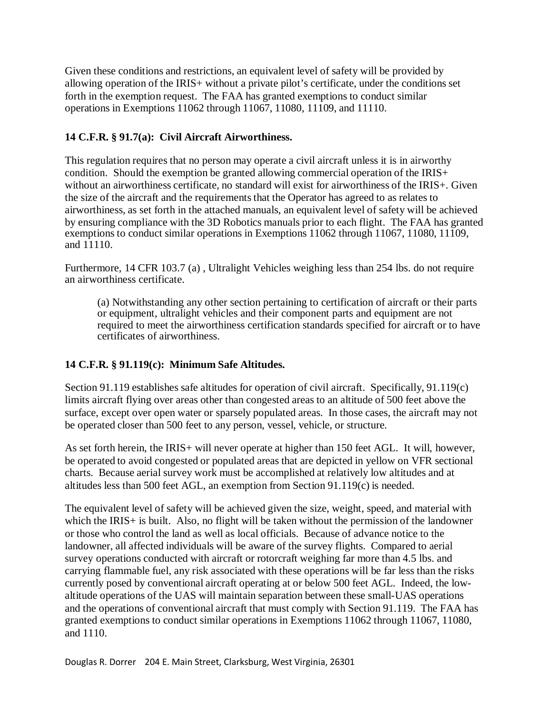Given these conditions and restrictions, an equivalent level of safety will be provided by allowing operation of the IRIS+ without a private pilot's certificate, under the conditions set forth in the exemption request. The FAA has granted exemptions to conduct similar operations in Exemptions 11062 through 11067, 11080, 11109, and 11110.

## **14 C.F.R. § 91.7(a): Civil Aircraft Airworthiness.**

This regulation requires that no person may operate a civil aircraft unless it is in airworthy condition. Should the exemption be granted allowing commercial operation of the IRIS+ without an airworthiness certificate, no standard will exist for airworthiness of the IRIS+. Given the size of the aircraft and the requirements that the Operator has agreed to as relates to airworthiness, as set forth in the attached manuals, an equivalent level of safety will be achieved by ensuring compliance with the 3D Robotics manuals prior to each flight. The FAA has granted exemptions to conduct similar operations in Exemptions 11062 through 11067, 11080, 11109, and 11110.

Furthermore, 14 CFR 103.7 (a) , Ultralight Vehicles weighing less than 254 lbs. do not require an airworthiness certificate.

(a) Notwithstanding any other section pertaining to certification of aircraft or their parts or equipment, ultralight vehicles and their component parts and equipment are not required to meet the airworthiness certification standards specified for aircraft or to have certificates of airworthiness.

## **14 C.F.R. § 91.119(c): Minimum Safe Altitudes.**

Section 91.119 establishes safe altitudes for operation of civil aircraft. Specifically, 91.119(c) limits aircraft flying over areas other than congested areas to an altitude of 500 feet above the surface, except over open water or sparsely populated areas. In those cases, the aircraft may not be operated closer than 500 feet to any person, vessel, vehicle, or structure.

As set forth herein, the IRIS+ will never operate at higher than 150 feet AGL. It will, however, be operated to avoid congested or populated areas that are depicted in yellow on VFR sectional charts. Because aerial survey work must be accomplished at relatively low altitudes and at altitudes less than 500 feet AGL, an exemption from Section 91.119(c) is needed.

The equivalent level of safety will be achieved given the size, weight, speed, and material with which the IRIS+ is built. Also, no flight will be taken without the permission of the landowner or those who control the land as well as local officials. Because of advance notice to the landowner, all affected individuals will be aware of the survey flights. Compared to aerial survey operations conducted with aircraft or rotorcraft weighing far more than 4.5 lbs. and carrying flammable fuel, any risk associated with these operations will be far less than the risks currently posed by conventional aircraft operating at or below 500 feet AGL. Indeed, the lowaltitude operations of the UAS will maintain separation between these small-UAS operations and the operations of conventional aircraft that must comply with Section 91.119. The FAA has granted exemptions to conduct similar operations in Exemptions 11062 through 11067, 11080, and 1110.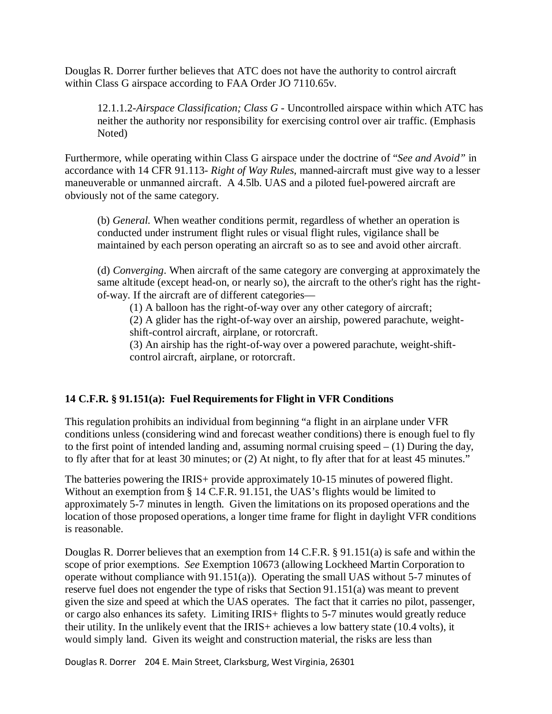Douglas R. Dorrer further believes that ATC does not have the authority to control aircraft within Class G airspace according to FAA Order JO 7110.65v.

12.1.1.2-*Airspace Classification; Class G -* Uncontrolled airspace within which ATC has neither the authority nor responsibility for exercising control over air traffic. (Emphasis Noted)

Furthermore, while operating within Class G airspace under the doctrine of "*See and Avoid"* in accordance with 14 CFR 91.113- *Right of Way Rules,* manned-aircraft must give way to a lesser maneuverable or unmanned aircraft. A 4.5lb. UAS and a piloted fuel-powered aircraft are obviously not of the same category.

(b) *General.* When weather conditions permit, regardless of whether an operation is conducted under instrument flight rules or visual flight rules, vigilance shall be maintained by each person operating an aircraft so as to see and avoid other aircraft.

(d) *Converging*. When aircraft of the same category are converging at approximately the same altitude (except head-on, or nearly so), the aircraft to the other's right has the rightof-way. If the aircraft are of different categories—

(1) A balloon has the right-of-way over any other category of aircraft;

(2) A glider has the right-of-way over an airship, powered parachute, weightshift-control aircraft, airplane, or rotorcraft.

(3) An airship has the right-of-way over a powered parachute, weight-shiftcontrol aircraft, airplane, or rotorcraft.

## **14 C.F.R. § 91.151(a): Fuel Requirementsfor Flight in VFR Conditions**

This regulation prohibits an individual from beginning "a flight in an airplane under VFR conditions unless (considering wind and forecast weather conditions) there is enough fuel to fly to the first point of intended landing and, assuming normal cruising speed  $- (1)$  During the day, to fly after that for at least 30 minutes; or (2) At night, to fly after that for at least 45 minutes."

The batteries powering the IRIS+ provide approximately 10-15 minutes of powered flight. Without an exemption from § 14 C.F.R. 91.151, the UAS's flights would be limited to approximately 5-7 minutes in length. Given the limitations on its proposed operations and the location of those proposed operations, a longer time frame for flight in daylight VFR conditions is reasonable.

Douglas R. Dorrer believes that an exemption from 14 C.F.R. § 91.151(a) is safe and within the scope of prior exemptions. *See* Exemption 10673 (allowing Lockheed Martin Corporation to operate without compliance with 91.151(a)). Operating the small UAS without 5-7 minutes of reserve fuel does not engender the type of risks that Section 91.151(a) was meant to prevent given the size and speed at which the UAS operates. The fact that it carries no pilot, passenger, or cargo also enhances its safety. Limiting IRIS+ flights to 5-7 minutes would greatly reduce their utility. In the unlikely event that the IRIS+ achieves a low battery state (10.4 volts), it would simply land. Given its weight and construction material, the risks are less than

Douglas R. Dorrer 204 E. Main Street, Clarksburg, West Virginia, 26301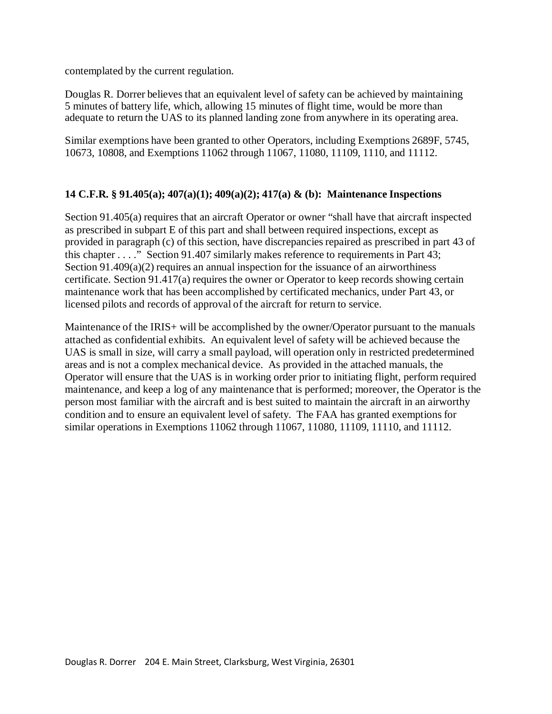contemplated by the current regulation.

Douglas R. Dorrer believes that an equivalent level of safety can be achieved by maintaining 5 minutes of battery life, which, allowing 15 minutes of flight time, would be more than adequate to return the UAS to its planned landing zone from anywhere in its operating area.

Similar exemptions have been granted to other Operators, including Exemptions 2689F, 5745, 10673, 10808, and Exemptions 11062 through 11067, 11080, 11109, 1110, and 11112.

#### **14 C.F.R. § 91.405(a); 407(a)(1); 409(a)(2); 417(a) & (b): Maintenance Inspections**

Section 91.405(a) requires that an aircraft Operator or owner "shall have that aircraft inspected as prescribed in subpart E of this part and shall between required inspections, except as provided in paragraph (c) of this section, have discrepancies repaired as prescribed in part 43 of this chapter . . . ." Section 91.407 similarly makes reference to requirements in Part 43; Section  $91.409(a)(2)$  requires an annual inspection for the issuance of an airworthiness certificate. Section 91.417(a) requires the owner or Operator to keep records showing certain maintenance work that has been accomplished by certificated mechanics, under Part 43, or licensed pilots and records of approval of the aircraft for return to service.

Maintenance of the IRIS+ will be accomplished by the owner/Operator pursuant to the manuals attached as confidential exhibits. An equivalent level of safety will be achieved because the UAS is small in size, will carry a small payload, will operation only in restricted predetermined areas and is not a complex mechanical device. As provided in the attached manuals, the Operator will ensure that the UAS is in working order prior to initiating flight, perform required maintenance, and keep a log of any maintenance that is performed; moreover, the Operator is the person most familiar with the aircraft and is best suited to maintain the aircraft in an airworthy condition and to ensure an equivalent level of safety. The FAA has granted exemptions for similar operations in Exemptions 11062 through 11067, 11080, 11109, 11110, and 11112.